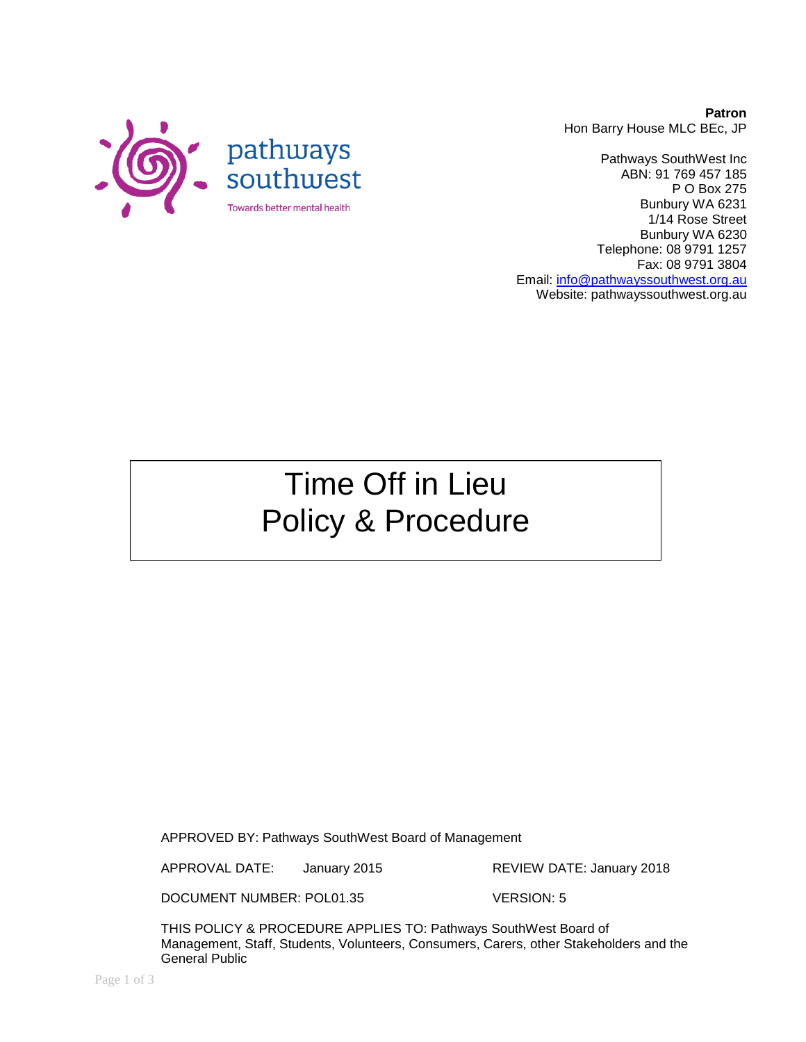

Pathways SouthWest Inc ABN: 91 769 457 185 P O Box 275 Bunbury WA 6231 1/14 Rose Street Bunbury WA 6230 Telephone: 08 9791 1257 Fax: 08 9791 3804 Email: [info@pathwayssouthwest.org.au](mailto:info@pathwayssouthwest.org.au) Website: pathwayssouthwest.org.au

# Time Off in Lieu Policy & Procedure

APPROVED BY: Pathways SouthWest Board of Management

APPROVAL DATE: January 2015 REVIEW DATE: January 2018

DOCUMENT NUMBER: POL01.35 VERSION: 5

THIS POLICY & PROCEDURE APPLIES TO: Pathways SouthWest Board of Management, Staff, Students, Volunteers, Consumers, Carers, other Stakeholders and the General Public

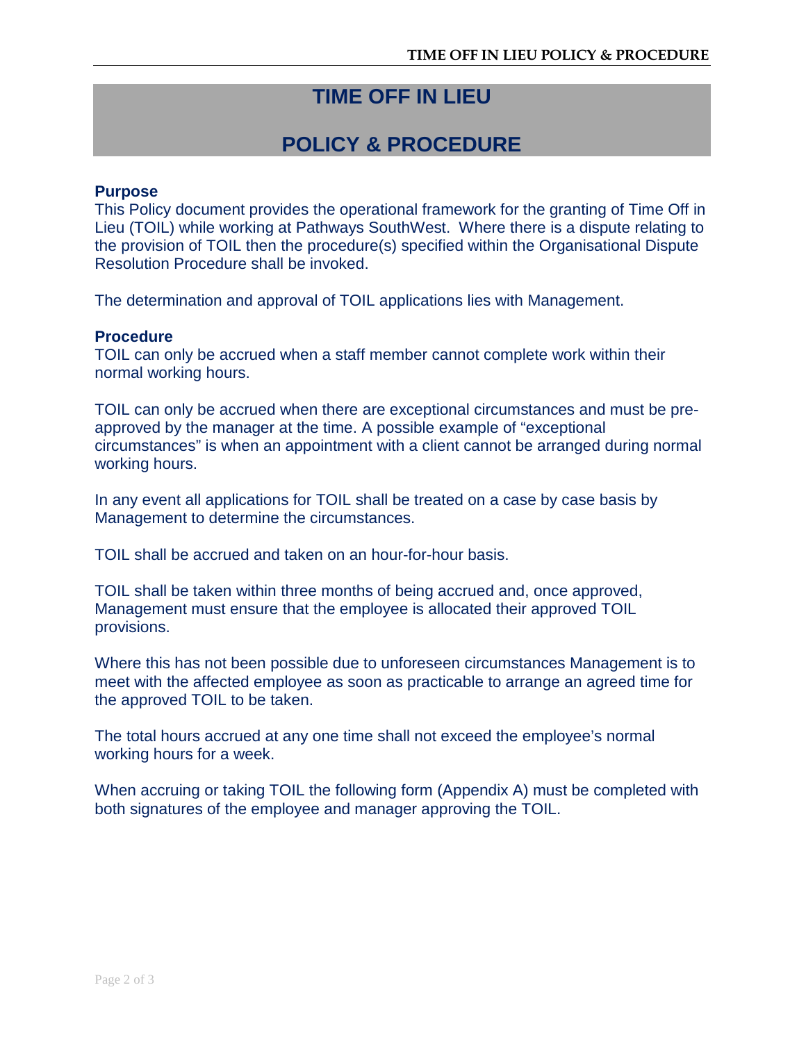## **TIME OFF IN LIEU**

## **POLICY & PROCEDURE**

#### **Purpose**

This Policy document provides the operational framework for the granting of Time Off in Lieu (TOIL) while working at Pathways SouthWest. Where there is a dispute relating to the provision of TOIL then the procedure(s) specified within the Organisational Dispute Resolution Procedure shall be invoked.

The determination and approval of TOIL applications lies with Management.

#### **Procedure**

TOIL can only be accrued when a staff member cannot complete work within their normal working hours.

TOIL can only be accrued when there are exceptional circumstances and must be preapproved by the manager at the time. A possible example of "exceptional circumstances" is when an appointment with a client cannot be arranged during normal working hours.

In any event all applications for TOIL shall be treated on a case by case basis by Management to determine the circumstances.

TOIL shall be accrued and taken on an hour-for-hour basis.

TOIL shall be taken within three months of being accrued and, once approved, Management must ensure that the employee is allocated their approved TOIL provisions.

Where this has not been possible due to unforeseen circumstances Management is to meet with the affected employee as soon as practicable to arrange an agreed time for the approved TOIL to be taken.

The total hours accrued at any one time shall not exceed the employee's normal working hours for a week.

When accruing or taking TOIL the following form (Appendix A) must be completed with both signatures of the employee and manager approving the TOIL.